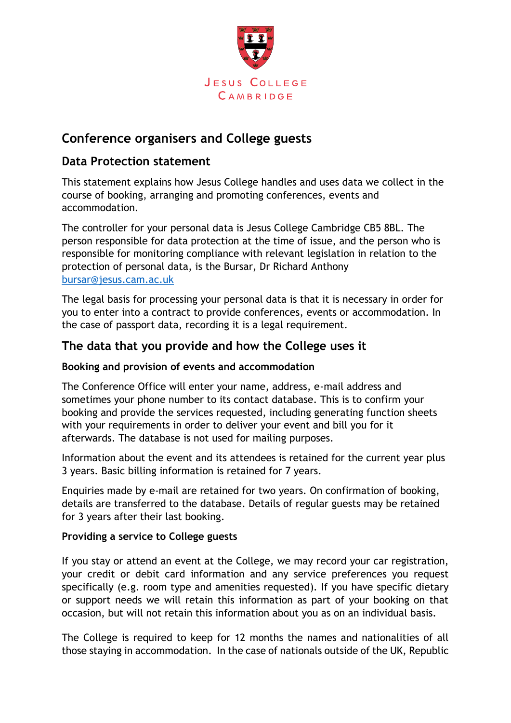

# **Conference organisers and College guests**

# **Data Protection statement**

This statement explains how Jesus College handles and uses data we collect in the course of booking, arranging and promoting conferences, events and accommodation.

The controller for your personal data is Jesus College Cambridge CB5 8BL. The person responsible for data protection at the time of issue, and the person who is responsible for monitoring compliance with relevant legislation in relation to the protection of personal data, is the Bursar, Dr Richard Anthony [bursar@jesus.cam.ac.uk](mailto:bursar@jesus.cam.ac.uk)

The legal basis for processing your personal data is that it is necessary in order for you to enter into a contract to provide conferences, events or accommodation. In the case of passport data, recording it is a legal requirement.

## **The data that you provide and how the College uses it**

### **Booking and provision of events and accommodation**

The Conference Office will enter your name, address, e-mail address and sometimes your phone number to its contact database. This is to confirm your booking and provide the services requested, including generating function sheets with your requirements in order to deliver your event and bill you for it afterwards. The database is not used for mailing purposes.

Information about the event and its attendees is retained for the current year plus 3 years. Basic billing information is retained for 7 years.

Enquiries made by e-mail are retained for two years. On confirmation of booking, details are transferred to the database. Details of regular guests may be retained for 3 years after their last booking.

#### **Providing a service to College guests**

If you stay or attend an event at the College, we may record your car registration, your credit or debit card information and any service preferences you request specifically (e.g. room type and amenities requested). If you have specific dietary or support needs we will retain this information as part of your booking on that occasion, but will not retain this information about you as on an individual basis.

The College is required to keep for 12 months the names and nationalities of all those staying in accommodation. In the case of nationals outside of the UK, Republic